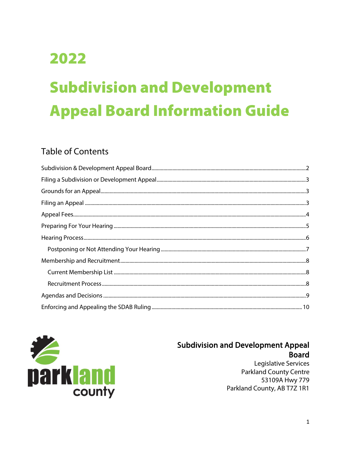# 2022

# **Subdivision and Development Appeal Board Information Guide**

# **Table of Contents**



#### **Subdivision and Development Appeal Board**

Legislative Services **Parkland County Centre** 53109A Hwy 779 Parkland County, AB T7Z 1R1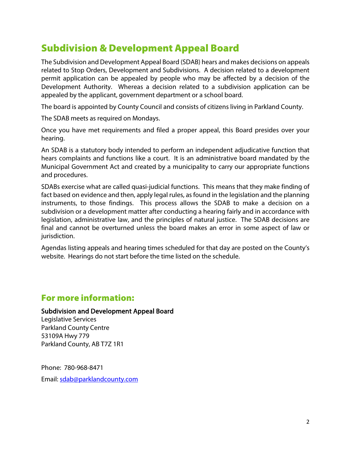# <span id="page-1-0"></span>Subdivision & Development Appeal Board

The Subdivision and Development Appeal Board (SDAB) hears and makes decisions on appeals related to Stop Orders, Development and Subdivisions. A decision related to a development permit application can be appealed by people who may be affected by a decision of the Development Authority. Whereas a decision related to a subdivision application can be appealed by the applicant, government department or a school board.

The board is appointed by County Council and consists of citizens living in Parkland County.

The SDAB meets as required on Mondays.

Once you have met requirements and filed a proper appeal, this Board presides over your hearing.

An SDAB is a statutory body intended to perform an independent adjudicative function that hears complaints and functions like a court. It is an administrative board mandated by the Municipal Government Act and created by a municipality to carry our appropriate functions and procedures.

SDABs exercise what are called quasi-judicial functions. This means that they make finding of fact based on evidence and then, apply legal rules, as found in the legislation and the planning instruments, to those findings. This process allows the SDAB to make a decision on a subdivision or a development matter after conducting a hearing fairly and in accordance with legislation, administrative law, and the principles of natural justice. The SDAB decisions are final and cannot be overturned unless the board makes an error in some aspect of law or jurisdiction.

Agendas listing appeals and hearing times scheduled for that day are posted on the County's website. Hearings do not start before the time listed on the schedule.

#### For more information:

#### Subdivision and Development Appeal Board

<span id="page-1-1"></span>Legislative Services Parkland County Centre 53109A Hwy 779 Parkland County, AB T7Z 1R1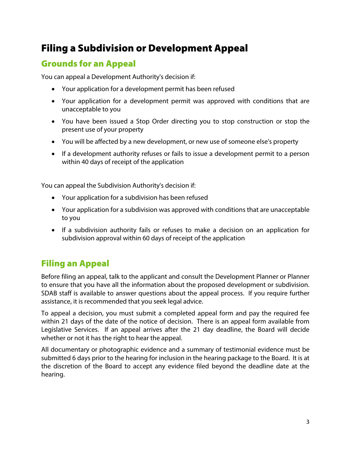# Filing a Subdivision or Development Appeal

#### <span id="page-2-0"></span>Grounds for an Appeal

You can appeal a Development Authority's decision if:

- Your application for a development permit has been refused
- Your application for a development permit was approved with conditions that are unacceptable to you
- You have been issued a Stop Order directing you to stop construction or stop the present use of your property
- You will be affected by a new development, or new use of someone else's property
- If a development authority refuses or fails to issue a development permit to a person within 40 days of receipt of the application

You can appeal the Subdivision Authority's decision if:

- Your application for a subdivision has been refused
- Your application for a subdivision was approved with conditions that are unacceptable to you
- If a subdivision authority fails or refuses to make a decision on an application for subdivision approval within 60 days of receipt of the application

# <span id="page-2-1"></span>Filing an Appeal

Before filing an appeal, talk to the applicant and consult the Development Planner or Planner to ensure that you have all the information about the proposed development or subdivision. SDAB staff is available to answer questions about the appeal process. If you require further assistance, it is recommended that you seek legal advice.

To appeal a decision, you must submit a completed appeal form and pay the required fee within 21 days of the date of the notice of decision. There is an appeal form available from Legislative Services. If an appeal arrives after the 21 day deadline, the Board will decide whether or not it has the right to hear the appeal.

<span id="page-2-2"></span>All documentary or photographic evidence and a summary of testimonial evidence must be submitted 6 days prior to the hearing for inclusion in the hearing package to the Board. It is at the discretion of the Board to accept any evidence filed beyond the deadline date at the hearing.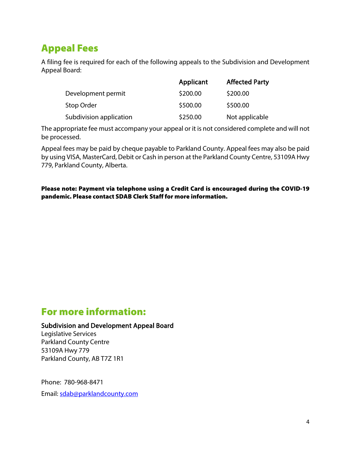# Appeal Fees

A filing fee is required for each of the following appeals to the Subdivision and Development Appeal Board:

|                         | Applicant | <b>Affected Party</b> |
|-------------------------|-----------|-----------------------|
| Development permit      | \$200.00  | \$200.00              |
| Stop Order              | \$500.00  | \$500.00              |
| Subdivision application | \$250.00  | Not applicable        |

The appropriate fee must accompany your appeal or it is not considered complete and will not be processed.

Appeal fees may be paid by cheque payable to Parkland County. Appeal fees may also be paid by using VISA, MasterCard, Debit or Cash in person at the Parkland County Centre, 53109A Hwy 779, Parkland County, Alberta.

Please note: Payment via telephone using a Credit Card is encouraged during the COVID-19 pandemic. Please contact SDAB Clerk Staff for more information.

# For more information:

#### Subdivision and Development Appeal Board

Legislative Services Parkland County Centre 53109A Hwy 779 Parkland County, AB T7Z 1R1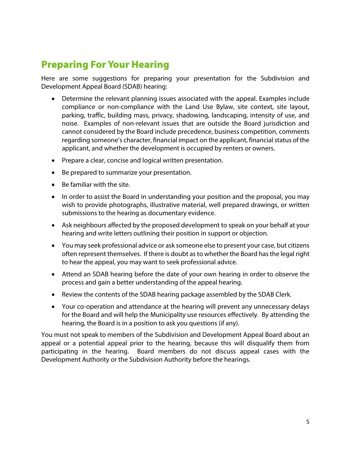# <span id="page-4-0"></span>Preparing For Your Hearing

Here are some suggestions for preparing your presentation for the Subdivision and Development Appeal Board (SDAB) hearing:

- Determine the relevant planning issues associated with the appeal. Examples include compliance or non-compliance with the Land Use Bylaw, site context, site layout, parking, traffic, building mass, privacy, shadowing, landscaping, intensity of use, and noise. Examples of non-relevant issues that are outside the Board jurisdiction and cannot considered by the Board include precedence, business competition, comments regarding someone's character, financial impact on the applicant, financial status of the applicant, and whether the development is occupied by renters or owners.
- Prepare a clear, concise and logical written presentation.
- Be prepared to summarize your presentation.
- Be familiar with the site.
- In order to assist the Board in understanding your position and the proposal, you may wish to provide photographs, illustrative material, well prepared drawings, or written submissions to the hearing as documentary evidence.
- Ask neighbours affected by the proposed development to speak on your behalf at your hearing and write letters outlining their position in support or objection.
- You may seek professional advice or ask someone else to present your case, but citizens often represent themselves. If there is doubt as to whether the Board has the legal right to hear the appeal, you may want to seek professional advice.
- Attend an SDAB hearing before the date of your own hearing in order to observe the process and gain a better understanding of the appeal hearing.
- Review the contents of the SDAB hearing package assembled by the SDAB Clerk.
- Your co-operation and attendance at the hearing will prevent any unnecessary delays for the Board and will help the Municipality use resources effectively. By attending the hearing, the Board is in a position to ask you questions (if any).

You must not speak to members of the Subdivision and Development Appeal Board about an appeal or a potential appeal prior to the hearing, because this will disqualify them from participating in the hearing. Board members do not discuss appeal cases with the Development Authority or the Subdivision Authority before the hearings.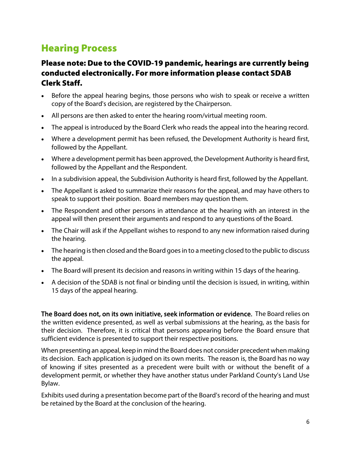# <span id="page-5-0"></span>Hearing Process

#### Please note: Due to the COVID-19 pandemic, hearings are currently being conducted electronically. For more information please contact SDAB Clerk Staff.

- Before the appeal hearing begins, those persons who wish to speak or receive a written copy of the Board's decision, are registered by the Chairperson.
- All persons are then asked to enter the hearing room/virtual meeting room.
- The appeal is introduced by the Board Clerk who reads the appeal into the hearing record.
- Where a development permit has been refused, the Development Authority is heard first, followed by the Appellant.
- Where a development permit has been approved, the Development Authority is heard first, followed by the Appellant and the Respondent.
- In a subdivision appeal, the Subdivision Authority is heard first, followed by the Appellant.
- The Appellant is asked to summarize their reasons for the appeal, and may have others to speak to support their position. Board members may question them.
- The Respondent and other persons in attendance at the hearing with an interest in the appeal will then present their arguments and respond to any questions of the Board.
- The Chair will ask if the Appellant wishes to respond to any new information raised during the hearing.
- The hearing is then closed and the Board goes in to a meeting closed to the public to discuss the appeal.
- The Board will present its decision and reasons in writing within 15 days of the hearing.
- A decision of the SDAB is not final or binding until the decision is issued, in writing, within 15 days of the appeal hearing.

The Board does not, on its own initiative, seek information or evidence. The Board relies on the written evidence presented, as well as verbal submissions at the hearing, as the basis for their decision. Therefore, it is critical that persons appearing before the Board ensure that sufficient evidence is presented to support their respective positions.

When presenting an appeal, keep in mind the Board does not consider precedent when making its decision. Each application is judged on its own merits. The reason is, the Board has no way of knowing if sites presented as a precedent were built with or without the benefit of a development permit, or whether they have another status under Parkland County's Land Use Bylaw.

Exhibits used during a presentation become part of the Board's record of the hearing and must be retained by the Board at the conclusion of the hearing.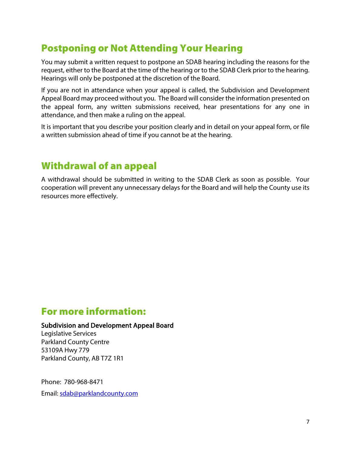# <span id="page-6-0"></span>Postponing or Not Attending Your Hearing

You may submit a written request to postpone an SDAB hearing including the reasons for the request, either to the Board at the time of the hearing or to the SDAB Clerk prior to the hearing. Hearings will only be postponed at the discretion of the Board.

If you are not in attendance when your appeal is called, the Subdivision and Development Appeal Board may proceed without you. The Board will consider the information presented on the appeal form, any written submissions received, hear presentations for any one in attendance, and then make a ruling on the appeal.

It is important that you describe your position clearly and in detail on your appeal form, or file a written submission ahead of time if you cannot be at the hearing.

# Withdrawal of an appeal

A withdrawal should be submitted in writing to the SDAB Clerk as soon as possible. Your cooperation will prevent any unnecessary delays for the Board and will help the County use its resources more effectively.

# For more information:

#### Subdivision and Development Appeal Board

Legislative Services Parkland County Centre 53109A Hwy 779 Parkland County, AB T7Z 1R1

Phone: 780-968-8471

<span id="page-6-1"></span>Email: [sdab@parklandcounty.com](mailto:sdab@parklandcounty.com)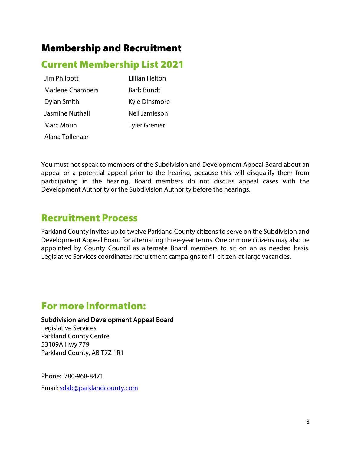# Membership and Recruitment

# <span id="page-7-0"></span>Current Membership List 2021

Jim Philpott Lillian Helton Marlene Chambers Barb Bundt Dylan Smith Kyle Dinsmore Jasmine Nuthall Neil Jamieson Marc Morin **Tyler Grenier** Alana Tollenaar

You must not speak to members of the Subdivision and Development Appeal Board about an appeal or a potential appeal prior to the hearing, because this will disqualify them from participating in the hearing. Board members do not discuss appeal cases with the Development Authority or the Subdivision Authority before the hearings.

### <span id="page-7-1"></span>Recruitment Process

Parkland County invites up to twelve Parkland County citizens to serve on the Subdivision and Development Appeal Board for alternating three-year terms. One or more citizens may also be appointed by County Council as alternate Board members to sit on an as needed basis. Legislative Services coordinates recruitment campaigns to fill citizen-at-large vacancies.

### For more information:

Subdivision and Development Appeal Board

<span id="page-7-2"></span>Legislative Services Parkland County Centre 53109A Hwy 779 Parkland County, AB T7Z 1R1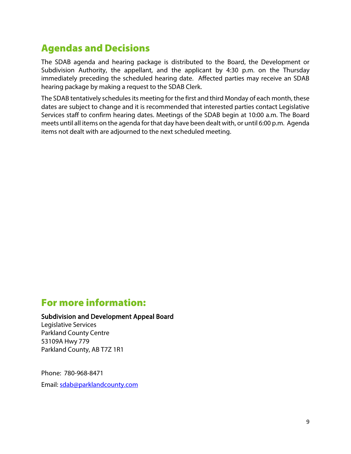# Agendas and Decisions

The SDAB agenda and hearing package is distributed to the Board, the Development or Subdivision Authority, the appellant, and the applicant by 4:30 p.m. on the Thursday immediately preceding the scheduled hearing date. Affected parties may receive an SDAB hearing package by making a request to the SDAB Clerk.

The SDAB tentatively schedules its meeting for the first and third Monday of each month, these dates are subject to change and it is recommended that interested parties contact Legislative Services staff to confirm hearing dates. Meetings of the SDAB begin at 10:00 a.m. The Board meets until all items on the agenda for that day have been dealt with, or until 6:00 p.m. Agenda items not dealt with are adjourned to the next scheduled meeting.

# For more information:

#### Subdivision and Development Appeal Board

<span id="page-8-0"></span>Legislative Services Parkland County Centre 53109A Hwy 779 Parkland County, AB T7Z 1R1